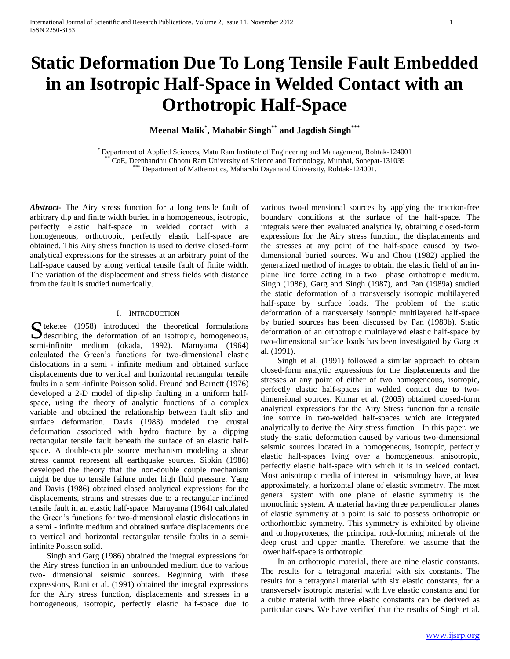# **Static Deformation Due To Long Tensile Fault Embedded in an Isotropic Half-Space in Welded Contact with an Orthotropic Half-Space**

**Meenal Malik\* , Mahabir Singh\*\* and Jagdish Singh\*\*\***

\* Department of Applied Sciences, Matu Ram Institute of Engineering and Management, Rohtak-124001 \*\* CoE, Deenbandhu Chhotu Ram University of Science and Technology, Murthal, Sonepat-131039 \*\*\* Department of Mathematics, Maharshi Dayanand University, Rohtak-124001.

*Abstract***-** The Airy stress function for a long tensile fault of arbitrary dip and finite width buried in a homogeneous, isotropic, perfectly elastic half-space in welded contact with a homogeneous, orthotropic, perfectly elastic half-space are obtained. This Airy stress function is used to derive closed-form analytical expressions for the stresses at an arbitrary point of the half-space caused by along vertical tensile fault of finite width. The variation of the displacement and stress fields with distance from the fault is studied numerically.

# I. INTRODUCTION

S teketee (1958) introduced the theoretical formulations<br>describing the deformation of an isotropic, homogeneous,  $\bigcup$  describing the deformation of an isotropic, homogeneous, semi-infinite medium (okada, 1992). Maruyama (1964) calculated the Green's functions for two-dimensional elastic dislocations in a semi - infinite medium and obtained surface displacements due to vertical and horizontal rectangular tensile faults in a semi-infinite Poisson solid. Freund and Barnett (1976) developed a 2-D model of dip-slip faulting in a uniform halfspace, using the theory of analytic functions of a complex variable and obtained the relationship between fault slip and surface deformation. Davis (1983) modeled the crustal deformation associated with hydro fracture by a dipping rectangular tensile fault beneath the surface of an elastic halfspace. A double-couple source mechanism modeling a shear stress cannot represent all earthquake sources. Sipkin (1986) developed the theory that the non-double couple mechanism might be due to tensile failure under high fluid pressure. Yang and Davis (1986) obtained closed analytical expressions for the displacements, strains and stresses due to a rectangular inclined tensile fault in an elastic half-space. Maruyama (1964) calculated the Green's functions for two-dimensional elastic dislocations in a semi - infinite medium and obtained surface displacements due to vertical and horizontal rectangular tensile faults in a semiinfinite Poisson solid.

 Singh and Garg (1986) obtained the integral expressions for the Airy stress function in an unbounded medium due to various two- dimensional seismic sources. Beginning with these expressions, Rani et al. (1991) obtained the integral expressions for the Airy stress function, displacements and stresses in a homogeneous, isotropic, perfectly elastic half-space due to

various two-dimensional sources by applying the traction-free boundary conditions at the surface of the half-space. The integrals were then evaluated analytically, obtaining closed-form expressions for the Airy stress function, the displacements and the stresses at any point of the half-space caused by twodimensional buried sources. Wu and Chou (1982) applied the generalized method of images to obtain the elastic field of an inplane line force acting in a two –phase orthotropic medium. Singh (1986), Garg and Singh (1987), and Pan (1989a) studied the static deformation of a transversely isotropic multilayered half-space by surface loads. The problem of the static deformation of a transversely isotropic multilayered half-space by buried sources has been discussed by Pan (1989b). Static deformation of an orthotropic multilayered elastic half-space by two-dimensional surface loads has been investigated by Garg et al. (1991).

 Singh et al. (1991) followed a similar approach to obtain closed-form analytic expressions for the displacements and the stresses at any point of either of two homogeneous, isotropic, perfectly elastic half-spaces in welded contact due to twodimensional sources. Kumar et al. (2005) obtained closed-form analytical expressions for the Airy Stress function for a tensile line source in two-welded half-spaces which are integrated analytically to derive the Airy stress function In this paper, we study the static deformation caused by various two-dimensional seismic sources located in a homogeneous, isotropic, perfectly elastic half-spaces lying over a homogeneous, anisotropic, perfectly elastic half-space with which it is in welded contact. Most anisotropic media of interest in seismology have, at least approximately, a horizontal plane of elastic symmetry. The most general system with one plane of elastic symmetry is the monoclinic system. A material having three perpendicular planes of elastic symmetry at a point is said to possess orthotropic or orthorhombic symmetry. This symmetry is exhibited by olivine and orthopyroxenes, the principal rock-forming minerals of the deep crust and upper mantle. Therefore, we assume that the lower half-space is orthotropic.

 In an orthotropic material, there are nine elastic constants. The results for a tetragonal material with six constants. The results for a tetragonal material with six elastic constants, for a transversely isotropic material with five elastic constants and for a cubic material with three elastic constants can be derived as particular cases. We have verified that the results of Singh et al.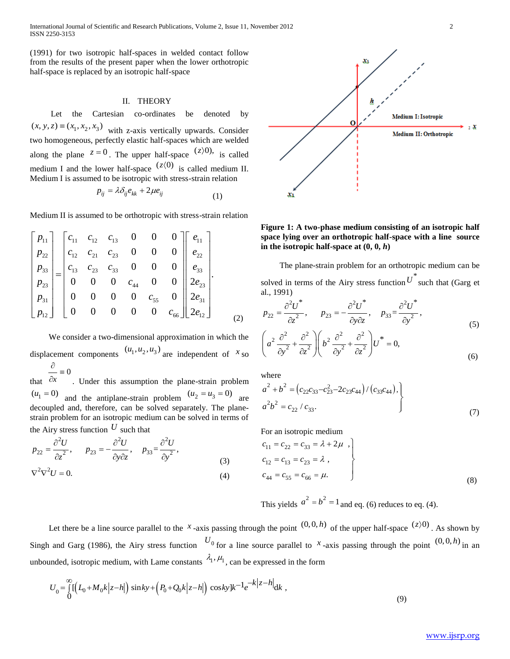International Journal of Scientific and Research Publications, Volume 2, Issue 11, November 2012 2 ISSN 2250-3153

(1991) for two isotropic half-spaces in welded contact follow from the results of the present paper when the lower orthotropic half-space is replaced by an isotropic half-space

## II. THEORY

 Let the Cartesian co-ordinates be denoted by  $(x, y, z) \equiv (x_1, x_2, x_3)$  with z-axis vertically upwards. Consider two homogeneous, perfectly elastic half-spaces which are welded along the plane  $z = 0$ . The upper half-space  $(z)$ <sup>0</sup>), is called medium I and the lower half-space  $(z(0))$  is called medium II. Medium I is assumed to be isotropic with stress-strain relation

$$
p_{ij} = \lambda \delta_{ij} e_{kk} + 2\mu e_{ij}
$$
 (1)

Median II is assumed to be orthotropic with stress-strain relation  
\n
$$
\begin{bmatrix}\np_{11} \\
p_{22} \\
p_{33} \\
p_{33} \\
p_{31} \\
p_{12}\n\end{bmatrix} =\n\begin{bmatrix}\nc_{11} & c_{12} & c_{13} & 0 & 0 & 0 \\
c_{12} & c_{21} & c_{23} & 0 & 0 & 0 \\
c_{13} & c_{23} & c_{33} & 0 & 0 & 0 \\
0 & 0 & 0 & c_{44} & 0 & 0 \\
0 & 0 & 0 & 0 & c_{55} & 0 \\
0 & 0 & 0 & 0 & 0 & c_{66}\n\end{bmatrix}\n\begin{bmatrix}\ne_{11} \\
e_{22} \\
e_{33} \\
2e_{31} \\
2e_{12}\n\end{bmatrix}.
$$

 We consider a two-dimensional approximation in which the displacement components  $(u_1, u_2, u_3)$  are independent of  $x$  so  $\equiv 0$  $\partial$ 

that  $\partial x$  . Under this assumption the plane-strain problem  $(u_1 = 0)$  and the antiplane-strain problem  $(u_2 = u_3 = 0)$  are decoupled and, therefore, can be solved separately. The planestrain problem for an isotropic medium can be solved in terms of

the Airy stress function 
$$
U
$$
 such that  
\n
$$
p_{22} = \frac{\partial^2 U}{\partial z^2}, \qquad p_{23} = -\frac{\partial^2 U}{\partial y \partial z}, \qquad p_{33} = \frac{\partial^2 U}{\partial y^2},
$$
\n
$$
\nabla^2 \nabla^2 U = 0.
$$
\n(4)



**Figure 1: A two-phase medium consisting of an isotropic half space lying over an orthotropic half-space with a line source in the isotropic half-space at (0, 0,** *h***)**

 The plane-strain problem for an orthotropic medium can be solved in terms of the Airy stress function  $U^*$  such that (Garg et al., 1991)

al., 1991)  
\n
$$
p_{22} = \frac{\partial^2 U^*}{\partial z^2}, \qquad p_{23} = -\frac{\partial^2 U^*}{\partial y \partial z}, \qquad p_{33} = \frac{\partial^2 U^*}{\partial y^2},
$$
\n
$$
\left(a^2 \frac{\partial^2}{\partial y^2} + \frac{\partial^2}{\partial z^2}\right) \left(b^2 \frac{\partial^2}{\partial y^2} + \frac{\partial^2}{\partial z^2}\right) U^* = 0,
$$
\n(6)

where

where  
\n
$$
a^{2} + b^{2} = (c_{22}c_{33} - c_{23}^{2} - 2c_{23}c_{44})/(c_{33}c_{44}),
$$
\n
$$
a^{2}b^{2} = c_{22}/c_{33}.
$$
\n(7)

For an isotropic medium

$$
c_{11} = c_{22} = c_{33} = \lambda + 2\mu ,
$$
  
\n
$$
c_{12} = c_{13} = c_{23} = \lambda ,
$$
  
\n
$$
c_{44} = c_{55} = c_{66} = \mu.
$$
  
\n(8)

This yields 
$$
a^2 = b^2 = 1
$$
 and eq. (6) reduces to eq. (4).

Let there be a line source parallel to the x<sup>*x*</sup>-axis passing through the point  $(0,0,h)$  of the upper half-space  $(z)$ <sup>0</sup>). As shown by Singh and Garg (1986), the Airy stress function  $U_0$  for a line source parallel to  $X$ -axis passing through the point  $(0,0,h)$  in an

unbounded, isotropic medium, with Lame constants 
$$
\lambda_1
$$
,  $\mu_1$ , can be expressed in the form  
\n
$$
U_0 = \int_0^\infty \left[ \left( L_0 + M_0 k \middle| z - h \right| \right) \sin ky + \left( P_0 + Q_0 k \middle| z - h \right| \right) \cos ky \left| k^{-1} e^{-k \middle| z - h \right|} \text{d}k , \tag{9}
$$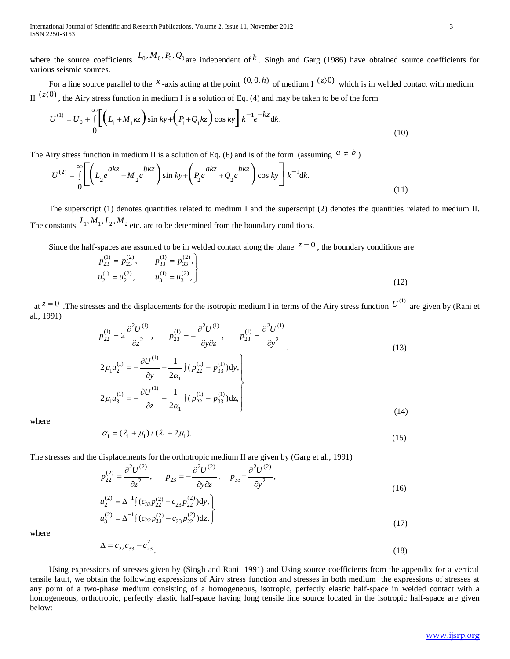where the source coefficients  $L_0, M_0, P_0, Q_0$  are independent of k. Singh and Garg (1986) have obtained source coefficients for various seismic sources.

For a line source parallel to the x-axis acting at the point  $(0,0,h)$  of medium I  $(z)$ <sup>0</sup>) which is in welded contact with medium

II 
$$
(z\langle 0)
$$
, the Airy stress function in medium I is a solution of Eq. (4) and may be taken to be of the form  
\n
$$
U^{(1)} = U_0 + \int_0^\infty \left[ \left( L_1 + M_1 kz \right) \sin ky + \left( P_1 + Q_1 kz \right) \cos ky \right] k^{-1} e^{-kz} dk.
$$
\n(10)

The Airy stress function in medium II is a solution of Eq. (6) and is of the form (assuming 
$$
a \neq b
$$
)  
\n
$$
U^{(2)} = \int_{0}^{\infty} \left[ \left( L_{2} e^{akz} + M_{2} e^{bkz} \right) \sin ky + \left( P_{2} e^{akz} + Q_{2} e^{bkz} \right) \cos ky \right] k^{-1} dk.
$$
\n(11)

 The superscript (1) denotes quantities related to medium I and the superscript (2) denotes the quantities related to medium II. The constants  $L_1, M_1, L_2, M_2$  etc. are to be determined from the boundary conditions.

Since the half-spaces are assumed to be in welded contact along the plane  $z = 0$ , the boundary conditions are

$$
p_{23}^{(1)} = p_{23}^{(2)}, \t p_{33}^{(1)} = p_{33}^{(2)},
$$
  
\n
$$
u_2^{(1)} = u_2^{(2)}, \t u_3^{(1)} = u_3^{(2)},
$$
  
\n(12)

at  $z = 0$ . The stresses and the displacements for the isotropic medium I in terms of the Airy stress function  $U^{(1)}$  are given by (Rani et al., 1991)

$$
p_{22}^{(1)} = 2 \frac{\partial^2 U^{(1)}}{\partial z^2}, \qquad p_{23}^{(1)} = -\frac{\partial^2 U^{(1)}}{\partial y \partial z}, \qquad p_{23}^{(1)} = \frac{\partial^2 U^{(1)}}{\partial y^2},
$$
  
\n
$$
2\mu_1 u_2^{(1)} = -\frac{\partial U^{(1)}}{\partial y} + \frac{1}{2\alpha_1} \int (p_{22}^{(1)} + p_{33}^{(1)}) dy,
$$
  
\n
$$
2\mu_1 u_3^{(1)} = -\frac{\partial U^{(1)}}{\partial z} + \frac{1}{2\alpha_1} \int (p_{22}^{(1)} + p_{33}^{(1)}) dz,
$$
\n(14)

where

$$
\alpha_1 = (\lambda_1 + \mu_1) / (\lambda_1 + 2\mu_1). \tag{15}
$$

 $\left(14\right)$ 

The stresses and the displacements for the orthotropic medium II are given by (Garg et al., 1991)  
\n
$$
p_{22}^{(2)} = \frac{\partial^2 U^{(2)}}{\partial z^2}, \qquad p_{23} = -\frac{\partial^2 U^{(2)}}{\partial y \partial z}, \qquad p_{33} = \frac{\partial^2 U^{(2)}}{\partial y^2}, \qquad (16)
$$

$$
u_2^{(2)} = \Delta^{-1} \left( c_{33} p_{22}^{(2)} - c_{23} p_{22}^{(2)} \right) dy,
$$
  
\n
$$
u_3^{(2)} = \Delta^{-1} \left( c_{22} p_{33}^{(2)} - c_{23} p_{22}^{(2)} \right) dz,
$$
\n(17)

where

$$
\Delta = c_{22}c_{33} - c_{23}^2 \tag{18}
$$

 Using expressions of stresses given by (Singh and Rani 1991) and Using source coefficients from the appendix for a vertical tensile fault, we obtain the following expressions of Airy stress function and stresses in both medium the expressions of stresses at any point of a two-phase medium consisting of a homogeneous, isotropic, perfectly elastic half-space in welded contact with a homogeneous, orthotropic, perfectly elastic half-space having long tensile line source located in the isotropic half-space are given below: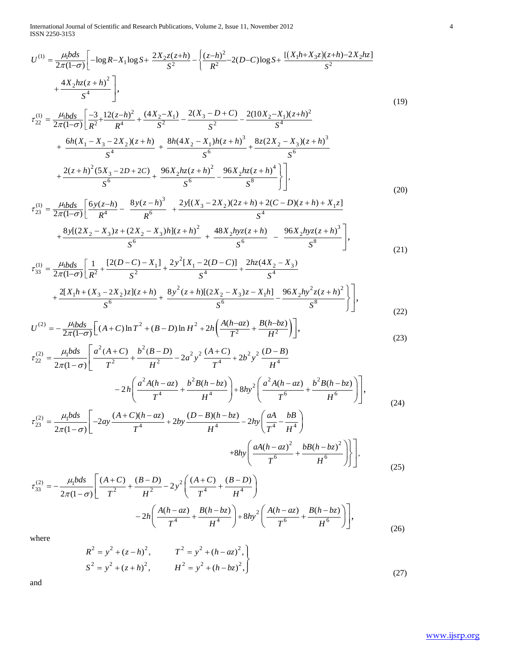ISSN 2250-3153

International Journal of Scientific and Research Publications, Volume 2, Issue 11, November 2012  
\nISSN 2250-3153  
\n
$$
U^{(1)} = \frac{\mu_1 b ds}{2\pi (1-\sigma)} \left[ -\log R - X_1 \log S + \frac{2X_2 z(z+h)}{S^2} - \left\{ \frac{(z-h)^2}{R^2} - 2(D-C) \log S + \frac{[(X_1 h + X_3 z)(z+h) - 2X_2 h z]}{S^2} + \frac{4X_2 h z(z+h)^2}{S^4} \right\}, \tag{19}
$$
\n
$$
\tau_{22}^{(1)} = \frac{\mu_1 b ds}{2\pi (1-\sigma)} \left[ \frac{-3}{R^2} + \frac{12(z-h)^2}{R^4} + \frac{(4X_2 - X_1)}{S^2} - \frac{2(X_3 - D + C)}{S^2} - \frac{2(10X_2 - X_1)(z+h)^2}{S^4} + \frac{6h(X_1 - X_3 - 2X_2)(z+h)}{S^4} + \frac{8h(4X_2 - X_1)h(z+h)^3}{S^6} + \frac{8z(2X_2 - X_3)(z+h)^3}{S^6} + \frac{2(z+h)^2(5X_3 - 2D + 2C)}{S^6} + \frac{96X_2 h z(z+h)^2}{S^6} - \frac{96X_2 h z(z+h)^4}{S^8} \right], \tag{20}
$$
\n
$$
\tau_{23}^{(1)} = \frac{\mu_1 b ds}{2\pi (1-\sigma)} \left[ \frac{6y(z-h)}{R^4} - \frac{8y(z-h)^3}{R^6} + \frac{2y[(X_3 - 2X_2)(2z+h) + 2(C - D)(z+h) + X_1 z]}{S^4} \right]
$$

$$
S^{6} \t S^{8} \t J \t J'
$$
\n
$$
\tau_{23}^{(1)} = \frac{\mu_{1}bds}{2\pi(1-\sigma)} \left[ \frac{6y(z-h)}{R^{4}} - \frac{8y(z-h)^{3}}{R^{6}} + \frac{2y[(X_{3}-2X_{2})(2z+h)+2(C-D)(z+h)+X_{1}z]}{S^{4}} + \frac{8y[(2X_{2}-X_{3})z+(2X_{2}-X_{3})h](z+h)^{2}}{S^{6}} + \frac{48X_{2}hyz(z+h)}{S^{6}} - \frac{96X_{2}hyz(z+h)^{3}}{S^{8}} \right],
$$
\n
$$
\tau_{33}^{(1)} = \frac{\mu_{1}bds}{2\pi(1-\sigma)} \left[ \frac{1}{R^{2}} + \frac{[2(D-C)-X_{1}]}{R^{2}} + \frac{2y^{2}[X_{1}-2(D-C)]}{R^{4}} + \frac{2hz(4X_{2}-X_{3})}{R^{4}} \right]
$$
\n(21)

$$
x_{33}^{(1)} = \frac{\mu_{1}bds}{2\pi(1-\sigma)} \left[ \frac{1}{R^2} + \frac{[2(D-C) - X_1]}{S^2} + \frac{2y^2[X_1 - 2(D-C)]}{S^4} + \frac{2hz(4X_2 - X_3)}{S^4} + \frac{2[X_1h + (X_3 - 2X_2)z](z+h)}{S^6} + \frac{8y^2(z+h)[(2X_2 - X_3)z - X_1h]}{S^6} - \frac{96X_2hy^2z(z+h)^2}{S^8} \right],
$$
\n
$$
U^{(2)} = -\frac{\mu_{1}bds}{2\pi(1-\sigma)} \left[ (A+C)\ln T^2 + (B-D)\ln H^2 + 2h \left( \frac{A(h-az)}{T^2} + \frac{B(h-bz)}{H^2} \right) \right],
$$
\n(22)

$$
+\frac{1}{s^{6}} + \frac{1}{s^{6}} + \frac{1}{s^{6}} + \frac{1}{s^{6}} + \frac{1}{s^{6}} + \frac{1}{s^{6}} - \frac{1}{s^{2}} + \frac{1}{s^{8}} - \frac{1}{s^{8}} - \frac{1}{s^{8}} - \frac{1}{s^{8}} - \frac{1}{s^{8}} - \frac{1}{s^{8}} - \frac{1}{s^{8}} - \frac{1}{s^{8}} - \frac{1}{s^{8}} - \frac{1}{s^{8}} - \frac{1}{s^{8}} - \frac{1}{s^{8}} - \frac{1}{s^{8}} - \frac{1}{s^{8}} - \frac{1}{s^{8}} - \frac{1}{s^{8}} - \frac{1}{s^{8}} - \frac{1}{s^{8}} - \frac{1}{s^{8}} - \frac{1}{s^{8}} - \frac{1}{s^{8}} - \frac{1}{s^{8}} - \frac{1}{s^{8}} - \frac{1}{s^{8}} - \frac{1}{s^{8}} - \frac{1}{s^{8}} - \frac{1}{s^{8}} - \frac{1}{s^{8}} - \frac{1}{s^{8}} - \frac{1}{s^{8}} - \frac{1}{s^{8}} - \frac{1}{s^{8}} - \frac{1}{s^{8}} - \frac{1}{s^{8}} - \frac{1}{s^{8}} - \frac{1}{s^{8}} - \frac{1}{s^{8}} - \frac{1}{s^{8}} - \frac{1}{s^{8}} - \frac{1}{s^{8}} - \frac{1}{s^{8}} - \frac{1}{s^{8}} - \frac{1}{s^{8}} - \frac{1}{s^{8}} - \frac{1}{s^{8}} - \frac{1}{s^{8}} - \frac{1}{s^{8}} - \frac{1}{s^{8}} - \frac{1}{s^{8}} - \frac{1}{s^{8}} - \frac{1}{s^{8}} - \frac{1}{s^{8}} - \frac{1}{s^{8}} - \frac{1}{s^{8}} - \frac{1}{s^{8}} - \frac{1}{s^{8}} - \frac{1}{s^{8}} - \frac{1}{s^{8}} - \frac{1}{s^{8}} - \frac{1}{s^{8}} - \frac{1}{s^{8}} - \frac{1}{s^{8}} - \frac{1}{s^{8}} - \frac{1}{s^{8}} - \frac{1}{s^{8}} - \frac{1}{s^{8}} - \frac{1}{s^{8}} - \frac{1}{s^{8}} - \frac{1}{s^{8}}
$$

$$
c = -\frac{1}{2\pi(1-\sigma)} \left[ (A+C)\ln T + (B-D)\ln T + 2n \left( \frac{T^2}{T^2} + \frac{T^2}{H^2} \right) \right],
$$
\n
$$
\tau_{22}^{(2)} = \frac{\mu_1 b ds}{2\pi(1-\sigma)} \left[ \frac{a^2 (A+C)}{T^2} + \frac{b^2 (B-D)}{H^2} - 2a^2 y^2 \frac{(A+C)}{T^4} + 2b^2 y^2 \frac{(D-B)}{H^4} \right]
$$
\n
$$
-2h \left( \frac{a^2 A (h-az)}{T^4} + \frac{b^2 B (h-bz)}{H^4} \right) + 8hy^2 \left( \frac{a^2 A (h-az)}{T^6} + \frac{b^2 B (h-bz)}{H^6} \right) \right],
$$
\n
$$
\tau_{23}^{(2)} = \frac{\mu_1 b ds}{2\pi(1-\sigma)} \left[ -2ay \frac{(A+C)(h-az)}{T^4} + 2by \frac{(D-B)(h-bz)}{H^4} - 2hy \left( \frac{aA}{T^4} - \frac{bB}{H^4} \right) + 8hy \left( \frac{aA (h-az)^2}{T^6} + \frac{bB (h-bz)^2}{T^6} \right) \right],
$$
\n(24)

$$
2\pi(1-\sigma)\begin{bmatrix} T^* & H^* & (T^* & H^*) \end{bmatrix}
$$
  

$$
+8hy\left(\frac{aA(h-az)^2}{T^6} + \frac{bB(h-bz)^2}{H^6}\right)\end{bmatrix},
$$
  

$$
\tau_{33}^{(2)} = -\frac{\mu_1 bds}{T^6} \left[\frac{(A+C)}{T^2} + \frac{(B-D)}{T^2} - 2y^2 \left(\frac{(A+C)}{T^4} + \frac{(B-D)}{T^4}\right)\right]
$$
 (25)

$$
+8hy\left(\frac{aA(h - az)^{2}}{T^{6}} + \frac{bB(h - bz)^{2}}{H^{6}}\right)\right],
$$
\n
$$
\tau_{33}^{(2)} = -\frac{\mu_{1}bds}{2\pi(1 - \sigma)}\left[\frac{(A + C)}{T^{2}} + \frac{(B - D)}{H^{2}} - 2y^{2}\left(\frac{(A + C)}{T^{4}} + \frac{(B - D)}{H^{4}}\right) -2h\left(\frac{A(h - az)}{T^{4}} + \frac{B(h - bz)}{H^{4}}\right) + 8hy^{2}\left(\frac{A(h - az)}{T^{6}} + \frac{B(h - bz)}{H^{6}}\right)\right],
$$
\n(26)

where

$$
R^{2} = y^{2} + (z - h)^{2}, \t T^{2} = y^{2} + (h - az)^{2},
$$
  
\n
$$
S^{2} = y^{2} + (z + h)^{2}, \t H^{2} = y^{2} + (h - bz)^{2},
$$
\n(27)

and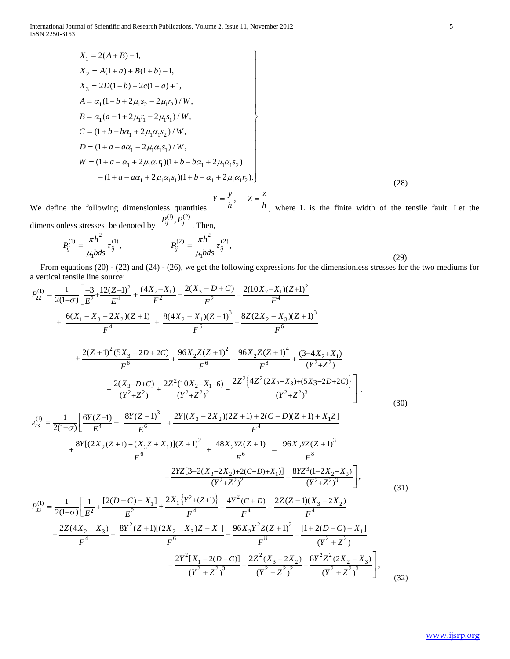$$
X_1 = 2(A + B) - 1,
$$
  
\n
$$
X_2 = A(1 + a) + B(1 + b) - 1,
$$
  
\n
$$
X_3 = 2D(1 + b) - 2c(1 + a) + 1,
$$
  
\n
$$
A = \alpha_1 (1 - b + 2\mu_1 s_2 - 2\mu_1 r_2) / W,
$$
  
\n
$$
B = \alpha_1 (a - 1 + 2\mu_1 r_1 - 2\mu_1 s_1) / W,
$$
  
\n
$$
C = (1 + b - b\alpha_1 + 2\mu_1 \alpha_1 s_2) / W,
$$
  
\n
$$
D = (1 + a - a\alpha_1 + 2\mu_1 \alpha_1 s_1) / W,
$$
  
\n
$$
W = (1 + a - \alpha_1 + 2\mu_1 \alpha_1 s_1) (1 + b - b\alpha_1 + 2\mu_1 \alpha_1 s_2)
$$
  
\n
$$
- (1 + a - a\alpha_1 + 2\mu_1 \alpha_1 s_1) (1 + b - \alpha_1 + 2\mu_1 \alpha_1 r_2).
$$
  
\n
$$
Y = \frac{y}{h}, \quad Z = \frac{z}{h}
$$
 where I, is the finite width of the ter-

We define the following dimensionless quantities , where L is the finite width of the tensile fault. Let the

dimensionless stresses be denoted by

onless stresses be denoted by 
$$
P_{ij}^{(1)}, P_{ij}^{(2)}
$$
. Then,  
\n
$$
P_{ij}^{(1)} = \frac{\pi h^2}{\mu_1 b ds} \tau_{ij}^{(1)}, \qquad P_{ij}^{(2)} = \frac{\pi h^2}{\mu_1 b ds} \tau_{ij}^{(2)}, \qquad (29)
$$

From equations (20) - (22) and (24) - (26), we get the following expressions for the dimensionless stresses for the two mediums for  
a vertical tensile line source:  
\n
$$
P_{22}^{(1)} = \frac{1}{2(1-\sigma)} \left[ \frac{-3}{E^2} + \frac{12(Z-1)^2}{E^4} + \frac{(4X_2 - X_1)}{F^2} - \frac{2(X_3 - D + C)}{F^2} - \frac{2(10X_2 - X_1)(Z+1)^2}{F^4} + \frac{8(Z(X_2 - X_3)(Z+1)^3}{F^6} + \frac{6(X_1 - X_3 - 2X_2)(Z+1)}{F^6} + \frac{8(X_2 - X_1)(Z+1)^3}{F^6} + \frac{8(Z(X_2 - X_3)(Z+1)^3}{F^6} + \frac{8(Z(X_1 - X_2 + X_1))}{F^6} + \frac{8(X_2 - D + 2C)}{F^6} + \frac{96X_2Z(Z+1)^2}{F^6} - \frac{96X_2Z(Z+1)^4}{F^8} + \frac{(3-4X_2+X_1)}{(Y^2+Z^2)} + \frac{2(X_3 - D + C)}{(Y^2+Z^2)^3} + \frac{2Z^2(10X_2 - X_1 - 6)}{(Y^2+Z^2)^2} - \frac{2Z^2[4Z^2(2X_2 - X_3)+(5X_3-2D+2C)]}{(Y^2+Z^3)^3} \right],
$$
\n
$$
P_{23}^{(1)} = \frac{1}{2(1-\sigma)} \left[ \frac{6Y(Z-1)}{E^4} - \frac{8Y(Z-1)^3}{E^6} + \frac{2Y[(X_3 - 2X_2)(2Z+1) + 2(C-D)(Z+1) + X_1Z]}{F^4} + \frac{8Y[(2X_2(Z+1) - (X_3Z+X_1)](Z+1)^2}{F^6} + \frac{48X_2YZ(Z+1)}{F^6} - \frac{96X_2Z(Z+1)^3}{F^8} + \frac{2Z(2X_2 - X_2) + 2(C-D) + X_1]1}{(Y^2+Z^2)^2} + \frac{8YZ^3(1-2X_2+X_3)}{(Y^2+Z^2)^3} \right],
$$
\n
$$
P_{33}^{(1)} = \frac{1}{2(1
$$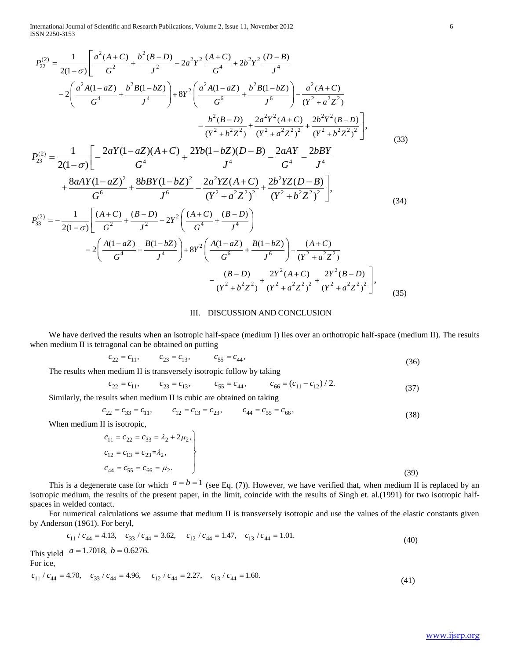ISSN 2250-3153

Interrational Journal of Scientific and Research Publications, Volume 2, Issue 11, November 2012  
\n
$$
P_{22}^{(2)} = \frac{1}{2(1-\sigma)} \left[ \frac{a^2(A+C)}{G^2} + \frac{b^2(B-D)}{J^2} - 2a^2 Y^2 \frac{(A+C)}{G^4} + 2b^2 Y^2 \frac{(D-B)}{J^4} \right]
$$
\n
$$
-2 \left( \frac{a^2 A(1-aZ)}{G^4} + \frac{b^2 B(1-bZ)}{J^4} \right) + 8Y^2 \left( \frac{a^2 A(1-aZ)}{G^6} + \frac{b^2 B(1-bZ)}{J^6} \right) - \frac{a^2(A+C)}{(Y^2+a^2Z^2)} - \frac{b^2 (B-D)}{(Y^2+a^2Z^2)^2} + \frac{2a^2 Y^2 (A+C)}{(Y^2+a^2Z^2)^2} + \frac{2b^2 Y^2 (B-D)}{(Y^2+b^2Z^2)^2} \right],
$$
\n
$$
P_{23}^{(2)} = \frac{1}{2(1-\sigma)} \left[ -\frac{2aY(1-aZ)(A+C)}{G^4} + \frac{2Yb(1-bZ)(D-B)}{J^4} - \frac{2aAY}{G^4} - \frac{2bBY}{J^4} + \frac{8aAY(1-aZ)^2}{G^6} + \frac{8bBY(1-bZ)^2}{J^6} - \frac{2a^2 YZ(A+C)}{(Y^2+a^2Z^2)^2} + \frac{2b^2 YZ(D-B)}{(Y^2+b^2Z^2)^2} \right],
$$
\n(33)  
\n
$$
P_{33}^{(2)} = -\frac{1}{2(1-\sigma)} \left[ \frac{(A+C)}{G^2} + \frac{(B-D)}{J^2} - 2Y^2 \left( \frac{(A+C)}{G^4} + \frac{(B-D)}{J^4} \right) - 2 \left( \frac{A(1-aZ)}{G^6} + \frac{B(1-bZ)}{J^6} \right) - \frac{(A+C)}{(Y^2+a^2Z^2)^2} + \frac{2Y^2(A+C)}{(Y^2+a^2Z^2)^2} \right],
$$
\n(34)

### III. DISCUSSION AND CONCLUSION

We have derived the results when an isotropic half-space (medium I) lies over an orthotropic half-space (medium II). The results when medium II is tetragonal can be obtained on putting<br>  $c_{22} = c_{11}$ ,  $c_{23} = c_{13}$ ,  $c_{55} = c_{44}$ ,

$$
c_{22} = c_{11}, \qquad c_{23} = c_{13}, \qquad c_{55} = c_{44}, \tag{36}
$$

The results when medium II is transversely isotropic follow by taking

$$
c_{22} = c_{11}, \t c_{23} = c_{13}, \t c_{55} = c_{44}, \t (36)
$$
  
medium II is transversely isotropic follow by taking  

$$
c_{22} = c_{11}, \t c_{23} = c_{13}, \t c_{55} = c_{44}, \t c_{66} = (c_{11} - c_{12}) / 2.
$$
 (37)

Similarly, the results when medium II is cubic are obtained on taking  

$$
c_{22} = c_{33} = c_{11}, \qquad c_{12} = c_{13} = c_{23}, \qquad c_{44} = c_{55} = c_{66}, \tag{38}
$$

When medium II is isotropic,

$$
c_{11} = c_{22} = c_{33} = \lambda_2 + 2\mu_2,
$$
  
\n
$$
c_{12} = c_{13} = c_{23} = \lambda_2,
$$
  
\n
$$
c_{44} = c_{55} = c_{66} = \mu_2.
$$
  
\n(39)

This is a degenerate case for which  $a = b = 1$  (see Eq. (7)). However, we have verified that, when medium II is replaced by an isotropic medium, the results of the present paper, in the limit, coincide with the results of Singh et. al.(1991) for two isotropic halfspaces in welded contact.

For numerical calculations we assume that medium II is transversely isotropic and use the values of the elastic constants given<br>by Anderson (1961). For beryl,<br> $c_{11}/c_{44} = 4.13$ ,  $c_{33}/c_{44} = 3.62$ ,  $c_{12}/c_{44} = 1.47$ ,  $c$ by Anderson (1961). For beryl,

$$
c_{11} / c_{44} = 4.13, \quad c_{33} / c_{44} = 3.62, \quad c_{12} / c_{44} = 1.47, \quad c_{13} / c_{44} = 1.01.
$$
\nThis yield  $a = 1.7018, \, b = 0.6276.$ 

\n(40)

For ice,

This yield 
$$
a = 1.7018
$$
,  $b = 0.0270$ .  
For ice,  
 $c_{11}/c_{44} = 4.70$ ,  $c_{33}/c_{44} = 4.96$ ,  $c_{12}/c_{44} = 2.27$ ,  $c_{13}/c_{44} = 1.60$ . (41)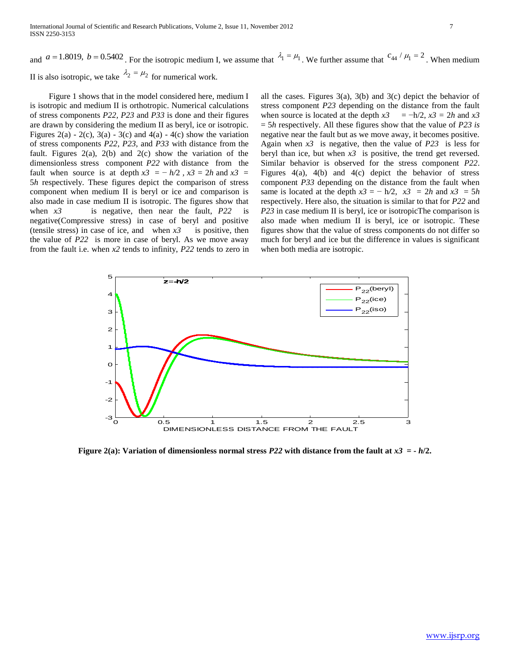and  $a = 1.8019$ ,  $b = 0.5402$ . For the isotropic medium I, we assume that  $\lambda_1 = \mu_1$ . We further assume that  $c_{44}/\mu_1 = 2$ . When medium II is also isotropic, we take  $\lambda_2 = \mu_2$  for numerical work.

 Figure 1 shows that in the model considered here, medium I is isotropic and medium II is orthotropic. Numerical calculations of stress components *P22*, *P23* and *P33* is done and their figures are drawn by considering the medium II as beryl, ice or isotropic. Figures 2(a) - 2(c), 3(a) - 3(c) and 4(a) - 4(c) show the variation of stress components *P22*, *P23*, and *P33* with distance from the fault. Figures  $2(a)$ ,  $2(b)$  and  $2(c)$  show the variation of the dimensionless stress component *P22* with distance from the fault when source is at depth  $x3 = -h/2$ ,  $x3 = 2h$  and  $x3 =$ 5*h* respectively. These figures depict the comparison of stress component when medium II is beryl or ice and comparison is also made in case medium II is isotropic. The figures show that when *x3* is negative, then near the fault, *P22* is negative(Compressive stress) in case of beryl and positive (tensile stress) in case of ice, and when  $x3$  is positive, then the value of *P22* is more in case of beryl. As we move away from the fault i.e. when *x2* tends to infinity, *P22* tends to zero in

all the cases. Figures  $3(a)$ ,  $3(b)$  and  $3(c)$  depict the behavior of stress component *P23* depending on the distance from the fault when source is located at the depth  $x^3 = -h/2$ ,  $x^3 = 2h$  and  $x^3$ = 5*h* respectively. All these figures show that the value of *P23 is* negative near the fault but as we move away, it becomes positive. Again when *x3* is negative, then the value of *P23* is less for beryl than ice, but when  $x3$  is positive, the trend get reversed. Similar behavior is observed for the stress component *P22*. Figures 4(a), 4(b) and 4(c) depict the behavior of stress component *P33* depending on the distance from the fault when same is located at the depth  $x3 = -h/2$ ,  $x3 = 2h$  and  $x3 = 5h$ respectively. Here also, the situation is similar to that for *P22* and *P23* in case medium II is beryl, ice or isotropicThe comparison is also made when medium II is beryl, ice or isotropic. These figures show that the value of stress components do not differ so much for beryl and ice but the difference in values is significant when both media are isotropic.



**Figure 2(a): Variation of dimensionless normal stress** *P22* **with distance from the fault at** *x3* **= -** *h***/2.**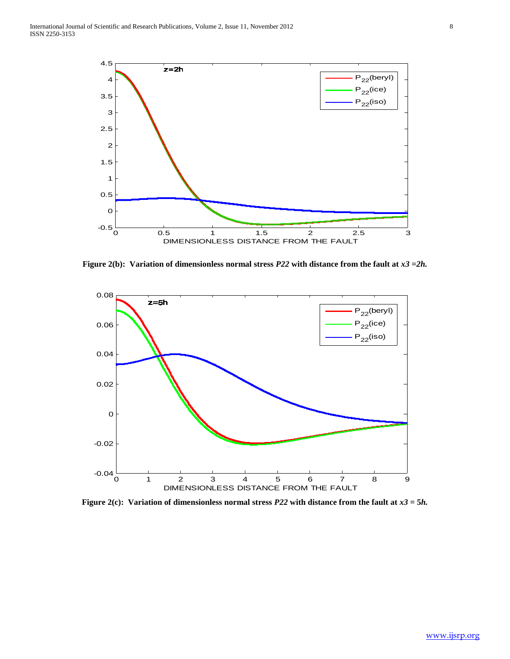

**Figure 2(b): Variation of dimensionless normal stress** *P22* **with distance from the fault at** *x3* **=***2h.*



**Figure 2(c): Variation of dimensionless normal stress** *P22* **with distance from the fault at** *x3* **= 5***h.*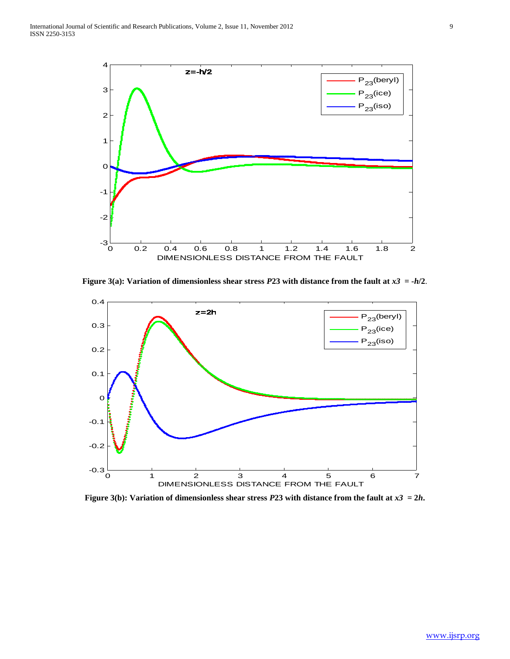

**Figure 3(a): Variation of dimensionless shear stress** *P***23 with distance from the fault at**  $x3 = -h/2$ **.** 



**Figure 3(b): Variation of dimensionless shear stress** *P***23 with distance from the fault at**  $x3 = 2h$ **.**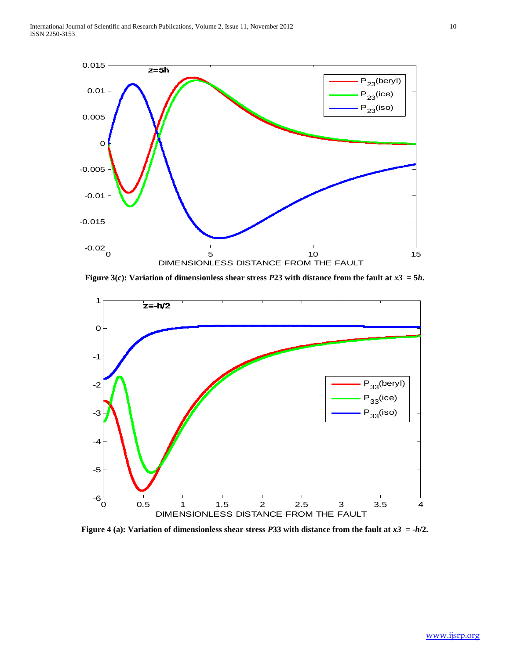

**Figure 3(c): Variation of dimensionless shear stress** *P***23 with distance from the fault at** *x3* **= 5***h***.**



**Figure 4 (a): Variation of dimensionless shear stress** *P***33 with distance from the fault at** *x3* **= -***h***/2.**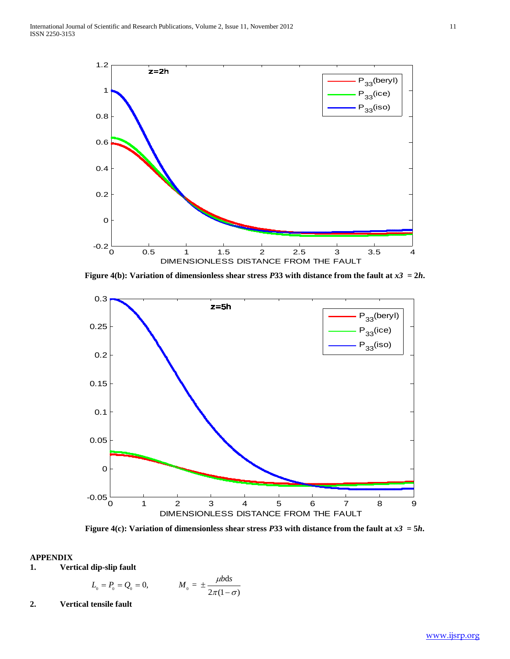

**Figure 4(b): Variation of dimensionless shear stress** *P***33 with distance from the fault at**  $x3 = 2h$ **.** 



**Figure 4(c): Variation of dimensionless shear stress** *P***33 with distance from the fault at**  $x3 = 5h$ **.** 

# **APPENDIX**

**1. Vertical dip-slip fault** 

dip-slip fault  

$$
L_0 = P_0 = Q_0 = 0,
$$
  $M_0 = \pm \frac{\mu b ds}{2\pi(1-\sigma)}$ 

**2. Vertical tensile fault**